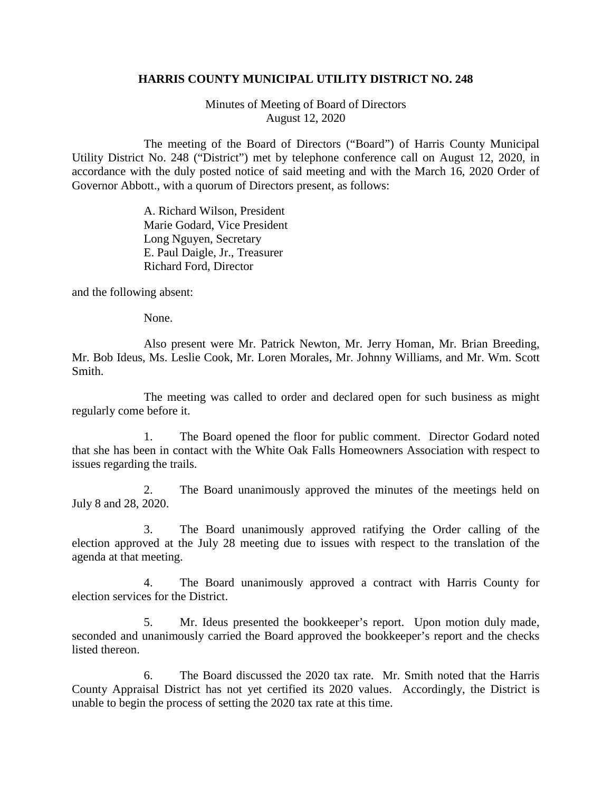## **HARRIS COUNTY MUNICIPAL UTILITY DISTRICT NO. 248**

Minutes of Meeting of Board of Directors August 12, 2020

The meeting of the Board of Directors ("Board") of Harris County Municipal Utility District No. 248 ("District") met by telephone conference call on August 12, 2020, in accordance with the duly posted notice of said meeting and with the March 16, 2020 Order of Governor Abbott., with a quorum of Directors present, as follows:

> A. Richard Wilson, President Marie Godard, Vice President Long Nguyen, Secretary E. Paul Daigle, Jr., Treasurer Richard Ford, Director

and the following absent:

None.

Also present were Mr. Patrick Newton, Mr. Jerry Homan, Mr. Brian Breeding, Mr. Bob Ideus, Ms. Leslie Cook, Mr. Loren Morales, Mr. Johnny Williams, and Mr. Wm. Scott Smith.

The meeting was called to order and declared open for such business as might regularly come before it.

1. The Board opened the floor for public comment. Director Godard noted that she has been in contact with the White Oak Falls Homeowners Association with respect to issues regarding the trails.

2. The Board unanimously approved the minutes of the meetings held on July 8 and 28, 2020.

3. The Board unanimously approved ratifying the Order calling of the election approved at the July 28 meeting due to issues with respect to the translation of the agenda at that meeting.

4. The Board unanimously approved a contract with Harris County for election services for the District.

5. Mr. Ideus presented the bookkeeper's report. Upon motion duly made, seconded and unanimously carried the Board approved the bookkeeper's report and the checks listed thereon.

6. The Board discussed the 2020 tax rate. Mr. Smith noted that the Harris County Appraisal District has not yet certified its 2020 values. Accordingly, the District is unable to begin the process of setting the 2020 tax rate at this time.